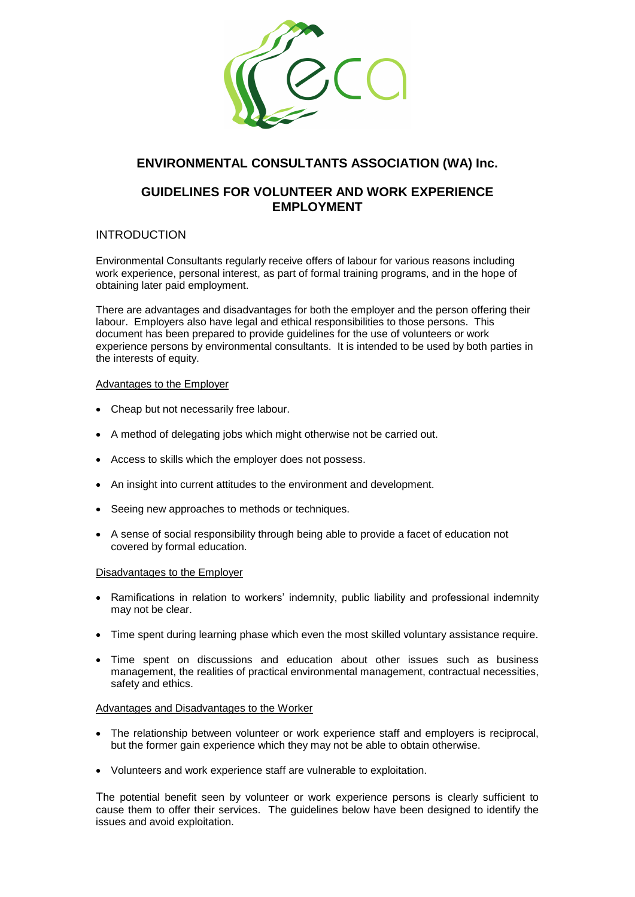

# **ENVIRONMENTAL CONSULTANTS ASSOCIATION (WA) Inc.**

## **GUIDELINES FOR VOLUNTEER AND WORK EXPERIENCE EMPLOYMENT**

## INTRODUCTION

Environmental Consultants regularly receive offers of labour for various reasons including work experience, personal interest, as part of formal training programs, and in the hope of obtaining later paid employment.

There are advantages and disadvantages for both the employer and the person offering their labour. Employers also have legal and ethical responsibilities to those persons. This document has been prepared to provide guidelines for the use of volunteers or work experience persons by environmental consultants. It is intended to be used by both parties in the interests of equity.

### Advantages to the Employer

- Cheap but not necessarily free labour.
- A method of delegating jobs which might otherwise not be carried out.
- Access to skills which the employer does not possess.
- An insight into current attitudes to the environment and development.
- Seeing new approaches to methods or techniques.
- A sense of social responsibility through being able to provide a facet of education not covered by formal education.

#### Disadvantages to the Employer

- Ramifications in relation to workers' indemnity, public liability and professional indemnity may not be clear.
- Time spent during learning phase which even the most skilled voluntary assistance require.
- Time spent on discussions and education about other issues such as business management, the realities of practical environmental management, contractual necessities, safety and ethics.

#### Advantages and Disadvantages to the Worker

- The relationship between volunteer or work experience staff and employers is reciprocal, but the former gain experience which they may not be able to obtain otherwise.
- Volunteers and work experience staff are vulnerable to exploitation.

The potential benefit seen by volunteer or work experience persons is clearly sufficient to cause them to offer their services. The guidelines below have been designed to identify the issues and avoid exploitation.